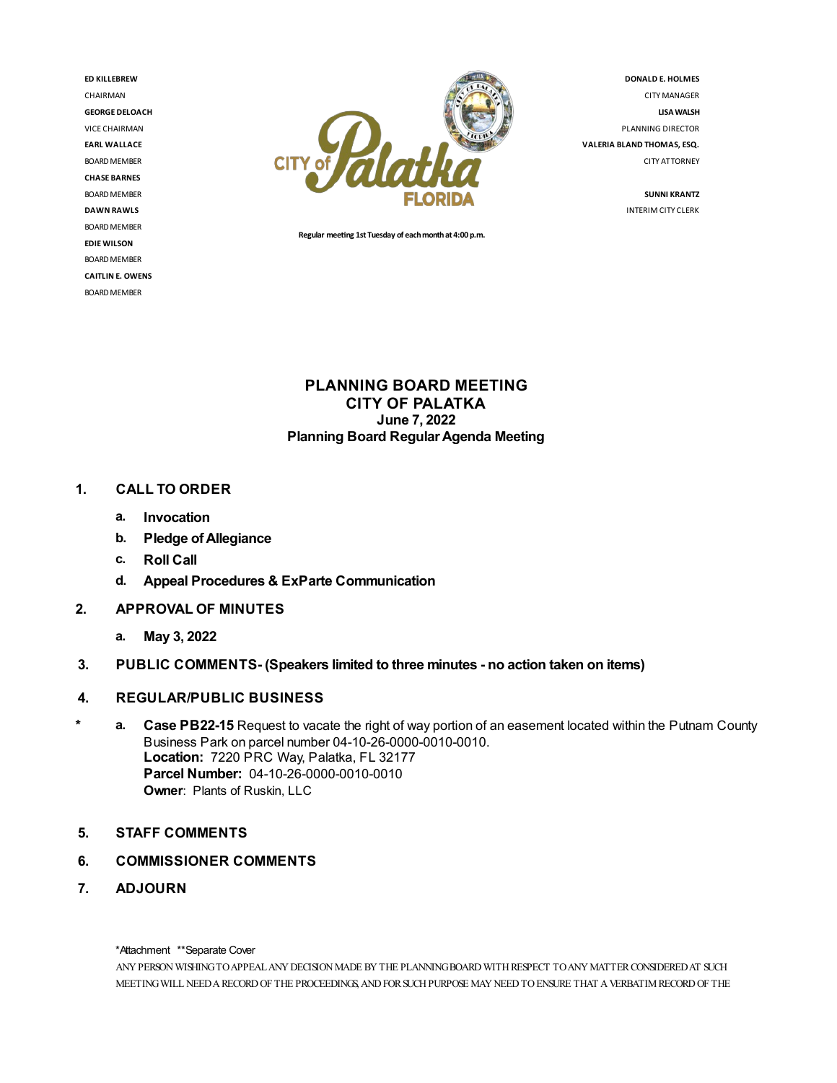**ED KILLEBREW** CHAIRMAN **GEORGE DELOACH** VICE CHAIRMAN **EARL WALLACE** BOARD MEMBER **CHASE BARNES** BOARD MEMBER **DAWN RAWLS** BOARD MEMBER **EDIEWILSON** BOARD MEMBER **CAITLIN E. OWENS** BOARD MEMBER



**Regular meeng 1st Tuesday of eachmonthat4:00 p.m.**

**DONALD E. HOLMES** CITYMANAGER **LISAWALSH** PLANNING DIRECTOR **VALERIA BLAND THOMAS,ESQ.** CITY ATTORNEY

> **SUNNI KRANTZ** INTERIMCITY CLERK

## **PLANNING BOARD MEETING CITY OF PALATKA June 7, 2022 Planning Board RegularAgenda Meeting**

## **1. CALL TO ORDER**

- **a. Invocation**
- **b. Pledge ofAllegiance**
- **c. Roll Call**
- **d. Appeal Procedures & ExParte Communication**
- **2. APPROVAL OF MINUTES**
	- **a. May 3, 2022**
- **3. PUBLIC COMMENTS- (Speakers limited to three minutes - no action taken on items)**
- **4. REGULAR/PUBLIC BUSINESS**
- **\* a. Case PB22-15** Request to vacate the right of way portion of an easement located within the Putnam County Business Park on parcel number 04-10-26-0000-0010-0010. **Location:** 7220 PRC Way, Palatka, FL 32177 **Parcel Number:** 04-10-26-0000-0010-0010 **Owner**: Plants of Ruskin, LLC
- **5. STAFF COMMENTS**
- **6. COMMISSIONER COMMENTS**
- **7. ADJOURN**

\*Attachment \*\*Separate Cover

ANY PERSON WISHING TO APPEAL ANY DECISION MADE BY THE PLANNING BOARD WITH RESPECT TO ANY MATTER CONSIDERED AT SUCH MEETING WILL NEED A RECORD OF THE PROCEEDINGS, AND FOR SUCH PURPOSE MAY NEED TO ENSURE THAT A VERBATIM RECORD OF THE